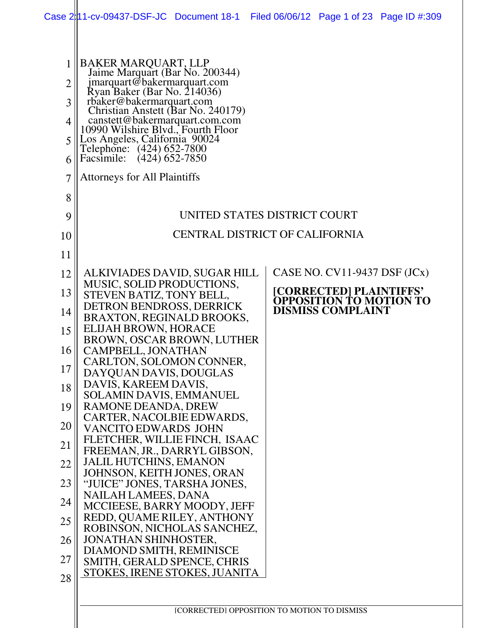|                                              | Case 2:11-cv-09437-DSF-JC Document 18-1                                                                                                                                                                                                                                                                                                                                                                      |                                             |  |                                                                                                                          | Filed 06/06/12 Page 1 of 23 Page ID #:309 |
|----------------------------------------------|--------------------------------------------------------------------------------------------------------------------------------------------------------------------------------------------------------------------------------------------------------------------------------------------------------------------------------------------------------------------------------------------------------------|---------------------------------------------|--|--------------------------------------------------------------------------------------------------------------------------|-------------------------------------------|
| 1<br>$\overline{2}$<br>3<br>4<br>5<br>6<br>7 | <b>BAKER MARQUART, LLP</b><br>Jaime Marquart (Bar No. 200344)<br>jmarquart@bakermarquart.com<br>Ryan Baker (Bar No. 214036)<br>rbaker@bakermarquart.com<br>Christian Anstett (Bar No. 240179)<br>canstett@bakermarquart.com.com<br>10990 Wilshire Blyd., Fourth Floor<br>Los Angeles, California 90024<br>Telephone: (424) 652-7800<br>$(424)$ 652-7850<br>Facsimile:<br><b>Attorneys for All Plaintiffs</b> |                                             |  |                                                                                                                          |                                           |
| 8                                            |                                                                                                                                                                                                                                                                                                                                                                                                              |                                             |  |                                                                                                                          |                                           |
| 9                                            |                                                                                                                                                                                                                                                                                                                                                                                                              | UNITED STATES DISTRICT COURT                |  |                                                                                                                          |                                           |
| 10                                           |                                                                                                                                                                                                                                                                                                                                                                                                              | <b>CENTRAL DISTRICT OF CALIFORNIA</b>       |  |                                                                                                                          |                                           |
| 11                                           |                                                                                                                                                                                                                                                                                                                                                                                                              |                                             |  |                                                                                                                          |                                           |
| 12<br>13<br>14                               | ALKIVIADES DAVID, SUGAR HILL<br>MUSIC, SOLID PRODUCTIONS,<br>STEVEN BATIZ, TONY BELL,<br>DETRON BENDROSS, DERRICK                                                                                                                                                                                                                                                                                            |                                             |  | CASE NO. $CV11-9437$ DSF $JCx)$<br>[CORRECTED] PLAINTIFFS'<br><b>OPPOSITION TO MOTION TO</b><br><b>DISMISS COMPLAINT</b> |                                           |
| 15                                           | BRAXTON, REGINALD BROOKS,<br><b>ELIJAH BROWN, HORACE</b><br>BROWN, OSCAR BROWN, LUTHER                                                                                                                                                                                                                                                                                                                       |                                             |  |                                                                                                                          |                                           |
| 16                                           | CAMPBELL, JONATHAN                                                                                                                                                                                                                                                                                                                                                                                           |                                             |  |                                                                                                                          |                                           |
| 17                                           | CARLTON, SOLOMON CONNER,<br>DAYQUAN DAVIS, DOUGLAS                                                                                                                                                                                                                                                                                                                                                           |                                             |  |                                                                                                                          |                                           |
| 18                                           | DAVIS, KAREEM DAVIS,<br><b>SOLAMIN DAVIS, EMMANUEL</b>                                                                                                                                                                                                                                                                                                                                                       |                                             |  |                                                                                                                          |                                           |
| 19                                           | RAMONE DEANDA, DREW<br>CARTER, NACOLBIE EDWARDS,                                                                                                                                                                                                                                                                                                                                                             |                                             |  |                                                                                                                          |                                           |
| 20                                           | <b>VANCITO EDWARDS JOHN</b>                                                                                                                                                                                                                                                                                                                                                                                  |                                             |  |                                                                                                                          |                                           |
| 21                                           | FLETCHER, WILLIE FINCH, ISAAC<br>FREEMAN, JR., DARRYL GIBSON,                                                                                                                                                                                                                                                                                                                                                |                                             |  |                                                                                                                          |                                           |
| 22                                           | <b>JALIL HUTCHINS, EMANON</b><br>JOHNSON, KEITH JONES, ORAN                                                                                                                                                                                                                                                                                                                                                  |                                             |  |                                                                                                                          |                                           |
| 23                                           | "JUICE" JONES, TARSHA JONES,                                                                                                                                                                                                                                                                                                                                                                                 |                                             |  |                                                                                                                          |                                           |
| 24                                           | <b>NAILAH LAMEES, DANA</b><br>MCCIEESE, BARRY MOODY, JEFF                                                                                                                                                                                                                                                                                                                                                    |                                             |  |                                                                                                                          |                                           |
| 25                                           | REDD, QUAME RILEY, ANTHONY<br>ROBINSON, NICHOLAS SANCHEZ,                                                                                                                                                                                                                                                                                                                                                    |                                             |  |                                                                                                                          |                                           |
| 26                                           | <b>JONATHAN SHINHOSTER,</b><br>DIAMOND SMITH, REMINISCE                                                                                                                                                                                                                                                                                                                                                      |                                             |  |                                                                                                                          |                                           |
| 27<br>28                                     | SMITH, GERALD SPENCE, CHRIS<br>STOKES, IRENE STOKES, JUANITA                                                                                                                                                                                                                                                                                                                                                 |                                             |  |                                                                                                                          |                                           |
|                                              |                                                                                                                                                                                                                                                                                                                                                                                                              |                                             |  |                                                                                                                          |                                           |
|                                              |                                                                                                                                                                                                                                                                                                                                                                                                              | [CORRECTED] OPPOSITION TO MOTION TO DISMISS |  |                                                                                                                          |                                           |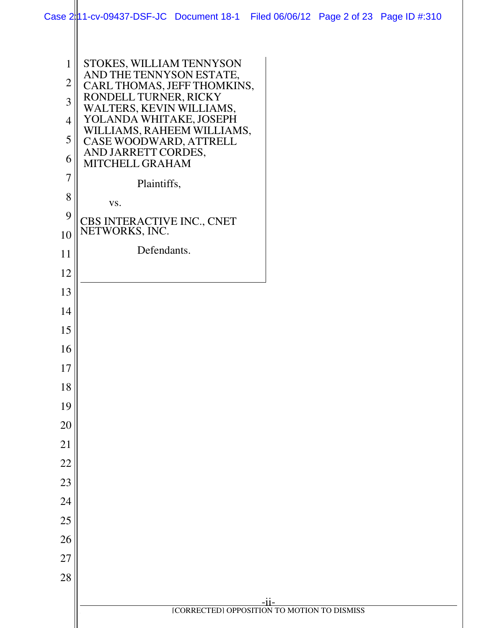|                | Case 2 11-cv-09437-DSF-JC Document 18-1 Filed 06/06/12 Page 2 of 23 Page ID #:310 |  |  |
|----------------|-----------------------------------------------------------------------------------|--|--|
|                |                                                                                   |  |  |
| $\mathbf{1}$   | STOKES, WILLIAM TENNYSON<br>AND THE TENNYSON ESTATE,                              |  |  |
| $\overline{2}$ | CARL THOMAS, JEFF THOMKINS,<br>RONDELL TURNER, RICKY                              |  |  |
| $\overline{3}$ | WALTERS, KEVIN WILLIAMS,                                                          |  |  |
| $\overline{4}$ | YOLANDA WHITAKE, JOSEPH<br>WILLIAMS, RAHEEM WILLIAMS,                             |  |  |
| 5              | CASE WOODWARD, ATTRELL<br>AND JARRETT CORDES,                                     |  |  |
| 6              | MITCHELL GRAHAM                                                                   |  |  |
| $\overline{7}$ | Plaintiffs,                                                                       |  |  |
| $8\,$          | VS.                                                                               |  |  |
| 9              | CBS INTERACTIVE INC., CNET<br>NETWORKS, INC.                                      |  |  |
| 10             | Defendants.                                                                       |  |  |
| 11             |                                                                                   |  |  |
| 12             |                                                                                   |  |  |
| 13<br>14       |                                                                                   |  |  |
| 15             |                                                                                   |  |  |
| 16             |                                                                                   |  |  |
| 17             |                                                                                   |  |  |
| 18             |                                                                                   |  |  |
| 19             |                                                                                   |  |  |
| 20             |                                                                                   |  |  |
| 21             |                                                                                   |  |  |
| 22             |                                                                                   |  |  |
| 23             |                                                                                   |  |  |
| 24             |                                                                                   |  |  |
| 25             |                                                                                   |  |  |
| 26             |                                                                                   |  |  |
| 27             |                                                                                   |  |  |
| 28             |                                                                                   |  |  |
|                |                                                                                   |  |  |
|                | [CORRECTED] OPPOSITION TO MOTION TO DISMISS                                       |  |  |
|                |                                                                                   |  |  |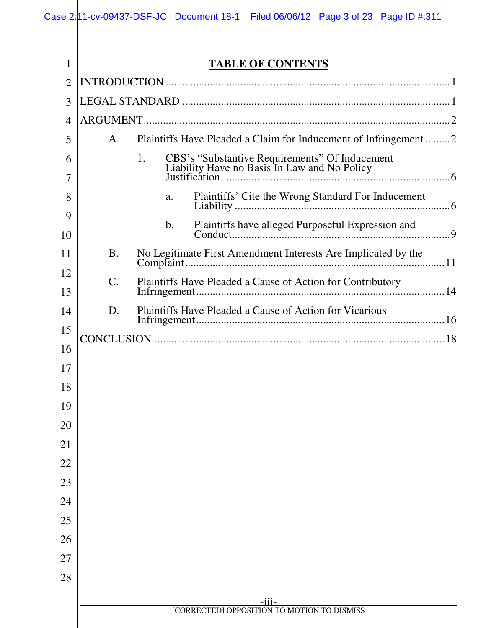| 1              |           | <b>TABLE OF CONTENTS</b>                                        |
|----------------|-----------|-----------------------------------------------------------------|
| $\overline{2}$ |           |                                                                 |
| 3              |           |                                                                 |
| 4              |           |                                                                 |
| 5              | A.        | Plaintiffs Have Pleaded a Claim for Inducement of Infringement2 |
| 6              |           | 1.                                                              |
| 7              |           |                                                                 |
| 8              |           | Plaintiffs' Cite the Wrong Standard For Inducement<br>a.        |
| 9              |           | Plaintiffs have alleged Purposeful Expression and<br>b.         |
| 10             |           |                                                                 |
| 11             | <b>B.</b> | No Legitimate First Amendment Interests Are Implicated by the   |
| 12<br>13       | $C$ .     | Plaintiffs Have Pleaded a Cause of Action for Contributory      |
| 14             | D.        | Plaintiffs Have Pleaded a Cause of Action for Vicarious         |
| 15             |           |                                                                 |
| 16             |           |                                                                 |
| 17             |           |                                                                 |
| 18             |           |                                                                 |
| 19             |           |                                                                 |
| 20             |           |                                                                 |
| 21             |           |                                                                 |
| 22             |           |                                                                 |
| 23             |           |                                                                 |
| 24             |           |                                                                 |
| 25             |           |                                                                 |
| 26             |           |                                                                 |
| 27             |           |                                                                 |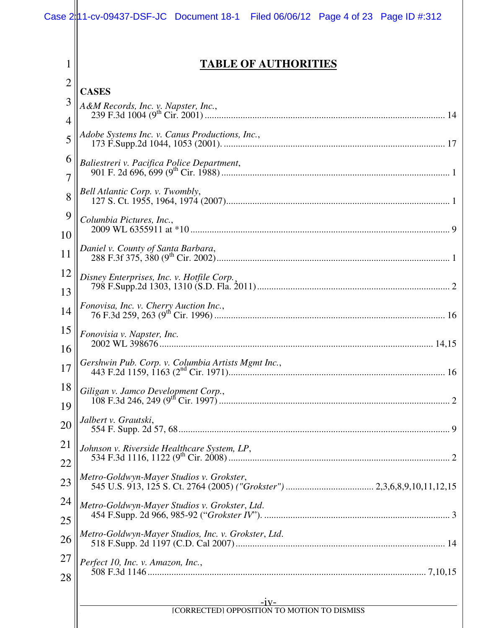1

2

**TABLE OF AUTHORITIES** 

|                | <b>CASES</b>                                          |
|----------------|-------------------------------------------------------|
| 3              |                                                       |
| $\overline{4}$ |                                                       |
| 5              | Adobe Systems Inc. v. Canus Productions, Inc.,        |
| 6              | Baliestreri v. Pacifica Police Department,            |
| $\overline{7}$ |                                                       |
| 8              | Bell Atlantic Corp. v. Twombly,                       |
| 9              | Columbia Pictures, Inc.,                              |
| 10             |                                                       |
| 11             |                                                       |
| 12             | Disney Enterprises, Inc. v. Hotfile Corp.,            |
| 13             |                                                       |
| 14             | Fonovisa, Inc. v. Cherry Auction Inc.,                |
| 15             | Fonovisia v. Napster, Inc.                            |
| 16             |                                                       |
| 17             | Gershwin Pub. Corp. v. Columbia Artists Mgmt Inc.,    |
| 18             |                                                       |
| 19             |                                                       |
| 20             | Jalbert v. Grautski,                                  |
| 21             | Johnson v. Riverside Healthcare System, LP,           |
| 22             |                                                       |
| 23             | Metro-Goldwyn-Mayer Studios v. Grokster,              |
| 24             | Metro-Goldwyn-Mayer Studios v. Grokster, Ltd.         |
| 25             |                                                       |
| 26             | Metro-Goldwyn-Mayer Studios, Inc. v. Grokster, Ltd.   |
| 27             | Perfect 10, Inc. v. Amazon, Inc.,                     |
| 28             |                                                       |
|                |                                                       |
|                | $-1V-$<br>[CORRECTED] OPPOSITION TO MOTION TO DISMISS |
|                |                                                       |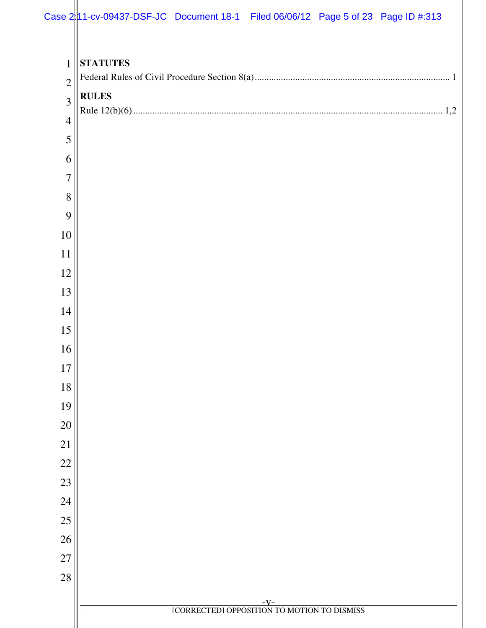|                                                  | Case 2 1-cv-09437-DSF-JC Document 18-1 Filed 06/06/12 Page 5 of 23 Page ID #:313 |                                                    |  |  |
|--------------------------------------------------|----------------------------------------------------------------------------------|----------------------------------------------------|--|--|
| $\mathbf{1}$<br>$\overline{2}$<br>$\overline{3}$ | <b>STATUTES</b><br><b>RULES</b>                                                  |                                                    |  |  |
| $\overline{4}$                                   |                                                                                  |                                                    |  |  |
| 5<br>6                                           |                                                                                  |                                                    |  |  |
| $\overline{7}$                                   |                                                                                  |                                                    |  |  |
| 8                                                |                                                                                  |                                                    |  |  |
| 9                                                |                                                                                  |                                                    |  |  |
| 10                                               |                                                                                  |                                                    |  |  |
| 11                                               |                                                                                  |                                                    |  |  |
| 12                                               |                                                                                  |                                                    |  |  |
| 13                                               |                                                                                  |                                                    |  |  |
| 14                                               |                                                                                  |                                                    |  |  |
| 15                                               |                                                                                  |                                                    |  |  |
| 16                                               |                                                                                  |                                                    |  |  |
| 17                                               |                                                                                  |                                                    |  |  |
| 18                                               |                                                                                  |                                                    |  |  |
| 19                                               |                                                                                  |                                                    |  |  |
| 20                                               |                                                                                  |                                                    |  |  |
| 21                                               |                                                                                  |                                                    |  |  |
| 22                                               |                                                                                  |                                                    |  |  |
| 23                                               |                                                                                  |                                                    |  |  |
| 24<br>$25\,$                                     |                                                                                  |                                                    |  |  |
| 26                                               |                                                                                  |                                                    |  |  |
| 27                                               |                                                                                  |                                                    |  |  |
| 28                                               |                                                                                  |                                                    |  |  |
|                                                  |                                                                                  |                                                    |  |  |
|                                                  |                                                                                  | -V-<br>[CORRECTED] OPPOSITION TO MOTION TO DISMISS |  |  |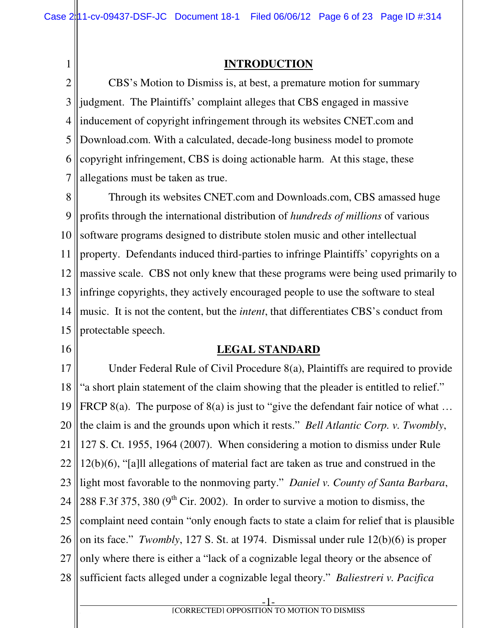# 1

### **INTRODUCTION**

2 3 4 5 6 7 CBS's Motion to Dismiss is, at best, a premature motion for summary judgment. The Plaintiffs' complaint alleges that CBS engaged in massive inducement of copyright infringement through its websites CNET.com and Download.com. With a calculated, decade-long business model to promote copyright infringement, CBS is doing actionable harm. At this stage, these allegations must be taken as true.

8 9 10 11 12 13 14 15 Through its websites CNET.com and Downloads.com, CBS amassed huge profits through the international distribution of *hundreds of millions* of various software programs designed to distribute stolen music and other intellectual property. Defendants induced third-parties to infringe Plaintiffs' copyrights on a massive scale. CBS not only knew that these programs were being used primarily to infringe copyrights, they actively encouraged people to use the software to steal music. It is not the content, but the *intent*, that differentiates CBS's conduct from protectable speech.

#### 16

#### **LEGAL STANDARD**

17 18 19 20 21 22 23 24 25 26 27 28 Under Federal Rule of Civil Procedure 8(a), Plaintiffs are required to provide "a short plain statement of the claim showing that the pleader is entitled to relief." FRCP 8(a). The purpose of 8(a) is just to "give the defendant fair notice of what ... the claim is and the grounds upon which it rests." *Bell Atlantic Corp. v. Twombly*, 127 S. Ct. 1955, 1964 (2007). When considering a motion to dismiss under Rule 12(b)(6), "[a]ll allegations of material fact are taken as true and construed in the light most favorable to the nonmoving party." *Daniel v. County of Santa Barbara*, 288 F.3f 375, 380 ( $9<sup>th</sup>$  Cir. 2002). In order to survive a motion to dismiss, the complaint need contain "only enough facts to state a claim for relief that is plausible on its face." *Twombly*, 127 S. St. at 1974. Dismissal under rule 12(b)(6) is proper only where there is either a "lack of a cognizable legal theory or the absence of sufficient facts alleged under a cognizable legal theory." *Baliestreri v. Pacifica*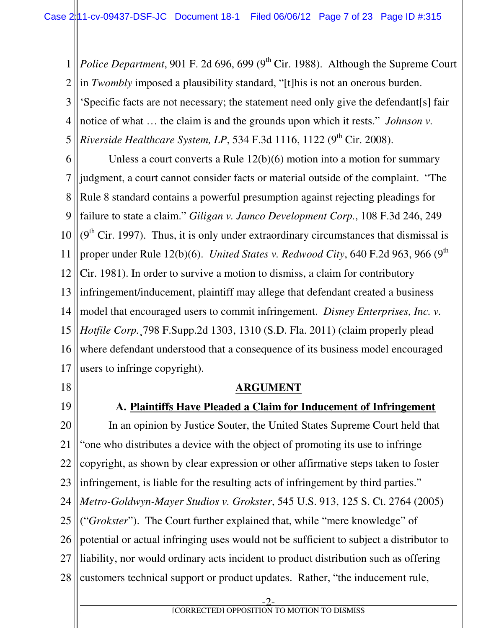1 2 3 4 5 *Police Department*, 901 F. 2d 696, 699 (9<sup>th</sup> Cir. 1988). Although the Supreme Court in *Twombly* imposed a plausibility standard, "[t]his is not an onerous burden. 'Specific facts are not necessary; the statement need only give the defendant[s] fair notice of what … the claim is and the grounds upon which it rests." *Johnson v. Riverside Healthcare System, LP, 534 F.3d 1116, 1122 (9<sup>th</sup> Cir. 2008).* 

6 7 8 9 10 11 12 13 14 15 16 17 Unless a court converts a Rule 12(b)(6) motion into a motion for summary judgment, a court cannot consider facts or material outside of the complaint. "The Rule 8 standard contains a powerful presumption against rejecting pleadings for failure to state a claim." *Giligan v. Jamco Development Corp.*, 108 F.3d 246, 249  $(9<sup>th</sup> Cir. 1997)$ . Thus, it is only under extraordinary circumstances that dismissal is proper under Rule 12(b)(6). *United States v. Redwood City*, 640 F.2d 963, 966 (9<sup>th</sup>) Cir. 1981). In order to survive a motion to dismiss, a claim for contributory infringement/inducement, plaintiff may allege that defendant created a business model that encouraged users to commit infringement. *Disney Enterprises, Inc. v. Hotfile Corp.*¸798 F.Supp.2d 1303, 1310 (S.D. Fla. 2011) (claim properly plead where defendant understood that a consequence of its business model encouraged users to infringe copyright).

- 18
- 19

### **A. Plaintiffs Have Pleaded a Claim for Inducement of Infringement**

**ARGUMENT** 

20 21 22 23 24 25 26 27 28 In an opinion by Justice Souter, the United States Supreme Court held that "one who distributes a device with the object of promoting its use to infringe copyright, as shown by clear expression or other affirmative steps taken to foster infringement, is liable for the resulting acts of infringement by third parties." *Metro-Goldwyn-Mayer Studios v. Grokster*, 545 U.S. 913, 125 S. Ct. 2764 (2005) ("*Grokster*"). The Court further explained that, while "mere knowledge" of potential or actual infringing uses would not be sufficient to subject a distributor to liability, nor would ordinary acts incident to product distribution such as offering customers technical support or product updates. Rather, "the inducement rule,

-2-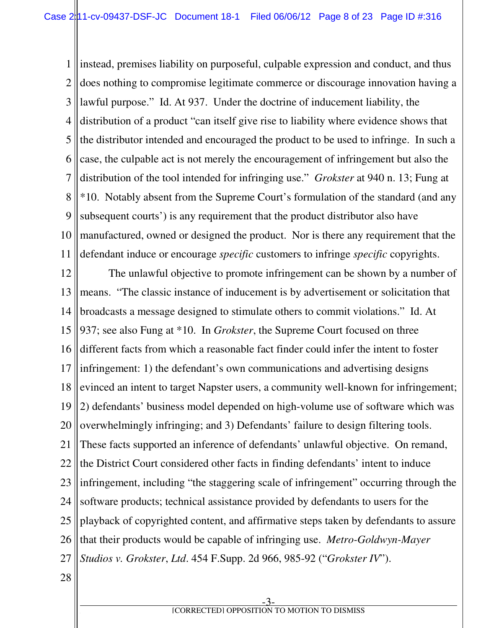1 2 3 4 5 6 7 8 9 10 11 instead, premises liability on purposeful, culpable expression and conduct, and thus does nothing to compromise legitimate commerce or discourage innovation having a lawful purpose." Id. At 937. Under the doctrine of inducement liability, the distribution of a product "can itself give rise to liability where evidence shows that the distributor intended and encouraged the product to be used to infringe. In such a case, the culpable act is not merely the encouragement of infringement but also the distribution of the tool intended for infringing use." *Grokster* at 940 n. 13; Fung at \*10. Notably absent from the Supreme Court's formulation of the standard (and any subsequent courts') is any requirement that the product distributor also have manufactured, owned or designed the product. Nor is there any requirement that the defendant induce or encourage *specific* customers to infringe *specific* copyrights.

12 13 14 15 16 17 18 19 20 21 22 23 24 25 26 27 The unlawful objective to promote infringement can be shown by a number of means. "The classic instance of inducement is by advertisement or solicitation that broadcasts a message designed to stimulate others to commit violations." Id. At 937; see also Fung at \*10. In *Grokster*, the Supreme Court focused on three different facts from which a reasonable fact finder could infer the intent to foster infringement: 1) the defendant's own communications and advertising designs evinced an intent to target Napster users, a community well-known for infringement; 2) defendants' business model depended on high-volume use of software which was overwhelmingly infringing; and 3) Defendants' failure to design filtering tools. These facts supported an inference of defendants' unlawful objective. On remand, the District Court considered other facts in finding defendants' intent to induce infringement, including "the staggering scale of infringement" occurring through the software products; technical assistance provided by defendants to users for the playback of copyrighted content, and affirmative steps taken by defendants to assure that their products would be capable of infringing use. *Metro-Goldwyn-Mayer Studios v. Grokster*, *Ltd*. 454 F.Supp. 2d 966, 985-92 ("*Grokster IV*").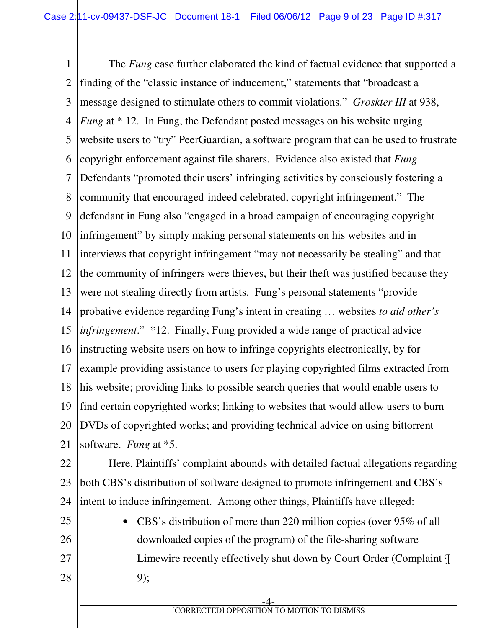1 2 3 4 5 6 7 8 9 10 11 12 13 14 15 16 17 18 19 20 21 The *Fung* case further elaborated the kind of factual evidence that supported a finding of the "classic instance of inducement," statements that "broadcast a message designed to stimulate others to commit violations." *Groskter III* at 938, *Fung* at \* 12. In Fung, the Defendant posted messages on his website urging website users to "try" PeerGuardian, a software program that can be used to frustrate copyright enforcement against file sharers. Evidence also existed that *Fung* Defendants "promoted their users' infringing activities by consciously fostering a community that encouraged-indeed celebrated, copyright infringement." The defendant in Fung also "engaged in a broad campaign of encouraging copyright infringement" by simply making personal statements on his websites and in interviews that copyright infringement "may not necessarily be stealing" and that the community of infringers were thieves, but their theft was justified because they were not stealing directly from artists. Fung's personal statements "provide probative evidence regarding Fung's intent in creating … websites *to aid other's infringement*." \*12. Finally, Fung provided a wide range of practical advice instructing website users on how to infringe copyrights electronically, by for example providing assistance to users for playing copyrighted films extracted from his website; providing links to possible search queries that would enable users to find certain copyrighted works; linking to websites that would allow users to burn DVDs of copyrighted works; and providing technical advice on using bittorrent software. *Fung* at \*5.

22 23 24 Here, Plaintiffs' complaint abounds with detailed factual allegations regarding both CBS's distribution of software designed to promote infringement and CBS's intent to induce infringement. Among other things, Plaintiffs have alleged:

25 26 27 28 • CBS's distribution of more than 220 million copies (over 95% of all downloaded copies of the program) of the file-sharing software Limewire recently effectively shut down by Court Order (Complaint ¶ 9);

-4 **f EXECUTED** [CORRECTED] OPPOSITION TO MOTION TO DISMISS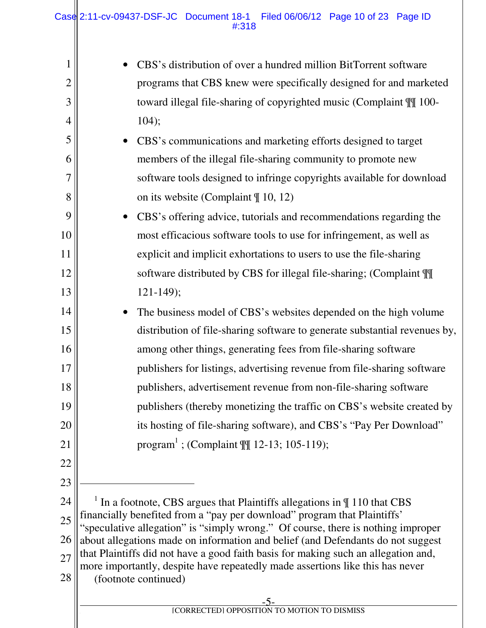|                | CBS's distribution of over a hundred million BitTorrent software                                                                                                    |  |  |  |
|----------------|---------------------------------------------------------------------------------------------------------------------------------------------------------------------|--|--|--|
| $\overline{2}$ | programs that CBS knew were specifically designed for and marketed                                                                                                  |  |  |  |
| 3              | toward illegal file-sharing of copyrighted music (Complaint $\mathbb{II}$ 100-                                                                                      |  |  |  |
| 4              | 104);                                                                                                                                                               |  |  |  |
| 5              | CBS's communications and marketing efforts designed to target<br>$\bullet$                                                                                          |  |  |  |
| 6              | members of the illegal file-sharing community to promote new                                                                                                        |  |  |  |
| 7              | software tools designed to infringe copyrights available for download                                                                                               |  |  |  |
| 8              | on its website (Complaint $\P$ 10, 12)                                                                                                                              |  |  |  |
| 9              | CBS's offering advice, tutorials and recommendations regarding the<br>$\bullet$                                                                                     |  |  |  |
| 10             | most efficacious software tools to use for infringement, as well as                                                                                                 |  |  |  |
| 11             | explicit and implicit exhortations to users to use the file-sharing                                                                                                 |  |  |  |
| 12             | software distributed by CBS for illegal file-sharing; (Complaint \[[]                                                                                               |  |  |  |
| 13             | $121 - 149$ ;                                                                                                                                                       |  |  |  |
| 14             | The business model of CBS's websites depended on the high volume<br>$\bullet$                                                                                       |  |  |  |
| 15             | distribution of file-sharing software to generate substantial revenues by,                                                                                          |  |  |  |
| 16             | among other things, generating fees from file-sharing software                                                                                                      |  |  |  |
| 17             | publishers for listings, advertising revenue from file-sharing software                                                                                             |  |  |  |
| 18             | publishers, advertisement revenue from non-file-sharing software                                                                                                    |  |  |  |
| 19             | publishers (thereby monetizing the traffic on CBS's website created by                                                                                              |  |  |  |
| 20             | its hosting of file-sharing software), and CBS's "Pay Per Download"                                                                                                 |  |  |  |
| 21             | program <sup>1</sup> ; (Complaint $\mathbb{M}$ 12-13; 105-119);                                                                                                     |  |  |  |
| 22             |                                                                                                                                                                     |  |  |  |
| 23             |                                                                                                                                                                     |  |  |  |
| 24             | $1$ In a footnote, CBS argues that Plaintiffs allegations in $\P$ 110 that CBS                                                                                      |  |  |  |
| 25             | financially benefited from a "pay per download" program that Plaintiffs'<br>"speculative allegation" is "simply wrong." Of course, there is nothing improper        |  |  |  |
| 26             | about allegations made on information and belief (and Defendants do not suggest                                                                                     |  |  |  |
| 27             | that Plaintiffs did not have a good faith basis for making such an allegation and,<br>more importantly, despite have repeatedly made assertions like this has never |  |  |  |
| 28             | (footnote continued)                                                                                                                                                |  |  |  |
|                |                                                                                                                                                                     |  |  |  |

-5-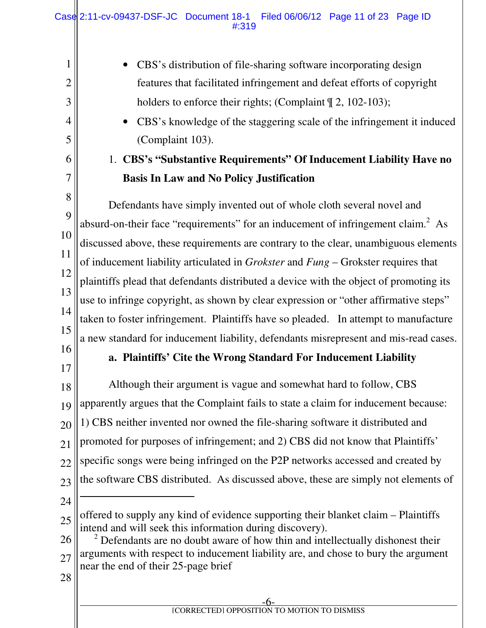1 2 3 4 5 6 7 8 9 10 11 12 13 14 15 16 17 18 19 20 21 22 23 24 25 26 27 28 • CBS's distribution of file-sharing software incorporating design features that facilitated infringement and defeat efforts of copyright holders to enforce their rights; (Complaint  $\P$  2, 102-103); • CBS's knowledge of the staggering scale of the infringement it induced (Complaint 103). 1. **CBS's "Substantive Requirements" Of Inducement Liability Have no Basis In Law and No Policy Justification** Defendants have simply invented out of whole cloth several novel and absurd-on-their face "requirements" for an inducement of infringement claim.<sup>2</sup> As discussed above, these requirements are contrary to the clear, unambiguous elements of inducement liability articulated in *Grokster* and *Fung* – Grokster requires that plaintiffs plead that defendants distributed a device with the object of promoting its use to infringe copyright, as shown by clear expression or "other affirmative steps" taken to foster infringement. Plaintiffs have so pleaded. In attempt to manufacture a new standard for inducement liability, defendants misrepresent and mis-read cases. **a. Plaintiffs' Cite the Wrong Standard For Inducement Liability**  Although their argument is vague and somewhat hard to follow, CBS apparently argues that the Complaint fails to state a claim for inducement because: 1) CBS neither invented nor owned the file-sharing software it distributed and promoted for purposes of infringement; and 2) CBS did not know that Plaintiffs' specific songs were being infringed on the P2P networks accessed and created by the software CBS distributed. As discussed above, these are simply not elements of  $\ddot{\phantom{a}}$ offered to supply any kind of evidence supporting their blanket claim – Plaintiffs intend and will seek this information during discovery).  $2$  Defendants are no doubt aware of how thin and intellectually dishonest their arguments with respect to inducement liability are, and chose to bury the argument near the end of their 25-page brief Case 2:11-cv-09437-DSF-JC Document 18-1 Filed 06/06/12 Page 11 of 23 Page ID #:319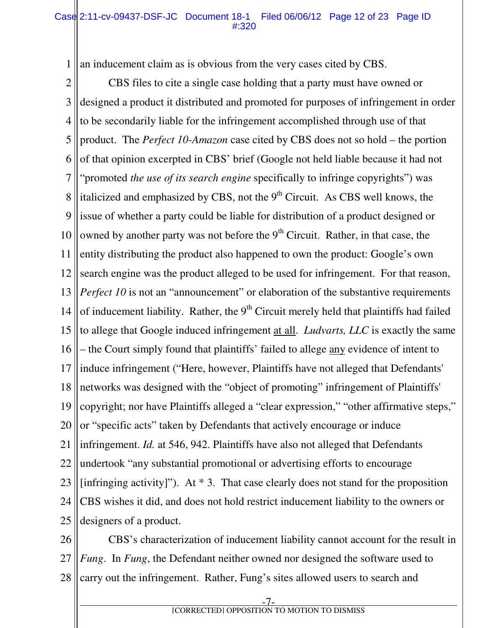1 an inducement claim as is obvious from the very cases cited by CBS.

2 3 4 5 6 7 8 9 10 11 12 13 14 15 16 17 18 19 20 21 22 23 24 25 CBS files to cite a single case holding that a party must have owned or designed a product it distributed and promoted for purposes of infringement in order to be secondarily liable for the infringement accomplished through use of that product. The *Perfect 10-Amazon* case cited by CBS does not so hold – the portion of that opinion excerpted in CBS' brief (Google not held liable because it had not "promoted *the use of its search engine* specifically to infringe copyrights") was italicized and emphasized by CBS, not the  $9<sup>th</sup>$  Circuit. As CBS well knows, the issue of whether a party could be liable for distribution of a product designed or owned by another party was not before the  $9<sup>th</sup>$  Circuit. Rather, in that case, the entity distributing the product also happened to own the product: Google's own search engine was the product alleged to be used for infringement. For that reason, *Perfect 10* is not an "announcement" or elaboration of the substantive requirements of inducement liability. Rather, the  $9<sup>th</sup>$  Circuit merely held that plaintiffs had failed to allege that Google induced infringement at all. *Ludvarts, LLC* is exactly the same – the Court simply found that plaintiffs' failed to allege any evidence of intent to induce infringement ("Here, however, Plaintiffs have not alleged that Defendants' networks was designed with the "object of promoting" infringement of Plaintiffs' copyright; nor have Plaintiffs alleged a "clear expression," "other affirmative steps," or "specific acts" taken by Defendants that actively encourage or induce infringement. *Id.* at 546, 942. Plaintiffs have also not alleged that Defendants undertook "any substantial promotional or advertising efforts to encourage [infringing activity]"). At  $*$  3. That case clearly does not stand for the proposition CBS wishes it did, and does not hold restrict inducement liability to the owners or designers of a product.

26 27 28 CBS's characterization of inducement liability cannot account for the result in *Fung*. In *Fung*, the Defendant neither owned nor designed the software used to carry out the infringement. Rather, Fung's sites allowed users to search and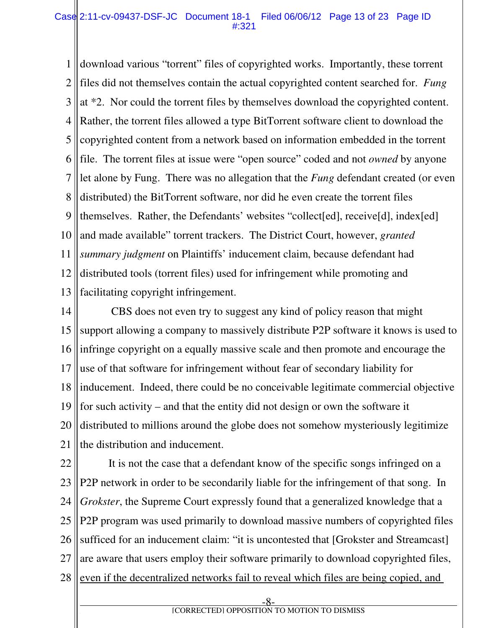1 2 3 4 5 6 7 8 9 10 11 12 13 download various "torrent" files of copyrighted works. Importantly, these torrent files did not themselves contain the actual copyrighted content searched for. *Fung* at \*2. Nor could the torrent files by themselves download the copyrighted content. Rather, the torrent files allowed a type BitTorrent software client to download the copyrighted content from a network based on information embedded in the torrent file. The torrent files at issue were "open source" coded and not *owned* by anyone let alone by Fung. There was no allegation that the *Fung* defendant created (or even distributed) the BitTorrent software, nor did he even create the torrent files themselves. Rather, the Defendants' websites "collect[ed], receive[d], index[ed] and made available" torrent trackers. The District Court, however, *granted summary judgment* on Plaintiffs' inducement claim, because defendant had distributed tools (torrent files) used for infringement while promoting and facilitating copyright infringement.

14 15 16 17 18 19 20 21 CBS does not even try to suggest any kind of policy reason that might support allowing a company to massively distribute P2P software it knows is used to infringe copyright on a equally massive scale and then promote and encourage the use of that software for infringement without fear of secondary liability for inducement. Indeed, there could be no conceivable legitimate commercial objective for such activity – and that the entity did not design or own the software it distributed to millions around the globe does not somehow mysteriously legitimize the distribution and inducement.

22 23 24 25 26 27 28 It is not the case that a defendant know of the specific songs infringed on a P2P network in order to be secondarily liable for the infringement of that song. In *Grokster*, the Supreme Court expressly found that a generalized knowledge that a P2P program was used primarily to download massive numbers of copyrighted files sufficed for an inducement claim: "it is uncontested that [Grokster and Streamcast] are aware that users employ their software primarily to download copyrighted files, even if the decentralized networks fail to reveal which files are being copied, and

-8-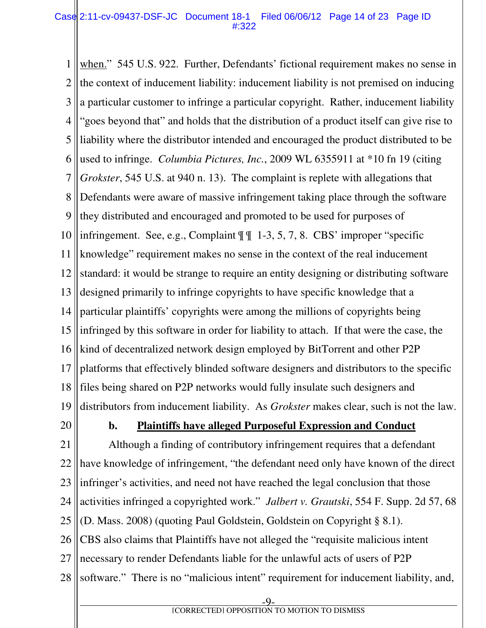#### Case 2:11-cv-09437-DSF-JC Document 18-1 Filed 06/06/12 Page 14 of 23 Page ID #:322

1 2 3 4 5 6 7 8 9 10 11 12 13 14 15 16 17 18 19 when." 545 U.S. 922. Further, Defendants' fictional requirement makes no sense in the context of inducement liability: inducement liability is not premised on inducing a particular customer to infringe a particular copyright. Rather, inducement liability "goes beyond that" and holds that the distribution of a product itself can give rise to liability where the distributor intended and encouraged the product distributed to be used to infringe. *Columbia Pictures, Inc.*, 2009 WL 6355911 at \*10 fn 19 (citing *Grokster*, 545 U.S. at 940 n. 13). The complaint is replete with allegations that Defendants were aware of massive infringement taking place through the software they distributed and encouraged and promoted to be used for purposes of infringement. See, e.g., Complaint  $\P\P$  1-3, 5, 7, 8. CBS' improper "specific knowledge" requirement makes no sense in the context of the real inducement standard: it would be strange to require an entity designing or distributing software designed primarily to infringe copyrights to have specific knowledge that a particular plaintiffs' copyrights were among the millions of copyrights being infringed by this software in order for liability to attach. If that were the case, the kind of decentralized network design employed by BitTorrent and other P2P platforms that effectively blinded software designers and distributors to the specific files being shared on P2P networks would fully insulate such designers and distributors from inducement liability. As *Grokster* makes clear, such is not the law.

20

#### **b. Plaintiffs have alleged Purposeful Expression and Conduct**

21 22 23 24 25 26 27 28 Although a finding of contributory infringement requires that a defendant have knowledge of infringement, "the defendant need only have known of the direct infringer's activities, and need not have reached the legal conclusion that those activities infringed a copyrighted work." *Jalbert v. Grautski*, 554 F. Supp. 2d 57, 68 (D. Mass. 2008) (quoting Paul Goldstein, Goldstein on Copyright § 8.1). CBS also claims that Plaintiffs have not alleged the "requisite malicious intent necessary to render Defendants liable for the unlawful acts of users of P2P software." There is no "malicious intent" requirement for inducement liability, and,

**f EXECUTED** [CORRECTED] OPPOSITION TO MOTION TO DISMISS

-9-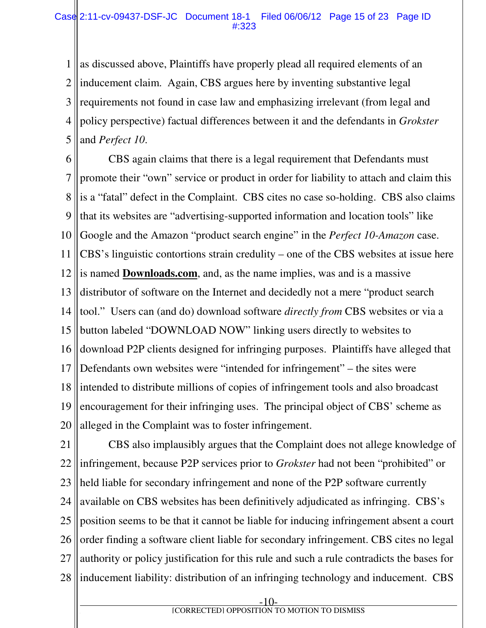1 2 3 4 5 as discussed above, Plaintiffs have properly plead all required elements of an inducement claim. Again, CBS argues here by inventing substantive legal requirements not found in case law and emphasizing irrelevant (from legal and policy perspective) factual differences between it and the defendants in *Grokster* and *Perfect 10*.

6 7 8 9 10 11 12 13 14 15 16 17 18 19 20 CBS again claims that there is a legal requirement that Defendants must promote their "own" service or product in order for liability to attach and claim this is a "fatal" defect in the Complaint. CBS cites no case so-holding. CBS also claims that its websites are "advertising-supported information and location tools" like Google and the Amazon "product search engine" in the *Perfect 10-Amazon* case. CBS's linguistic contortions strain credulity – one of the CBS websites at issue here is named **Downloads.com**, and, as the name implies, was and is a massive distributor of software on the Internet and decidedly not a mere "product search tool." Users can (and do) download software *directly from* CBS websites or via a button labeled "DOWNLOAD NOW" linking users directly to websites to download P2P clients designed for infringing purposes. Plaintiffs have alleged that Defendants own websites were "intended for infringement" – the sites were intended to distribute millions of copies of infringement tools and also broadcast encouragement for their infringing uses. The principal object of CBS' scheme as alleged in the Complaint was to foster infringement.

21 22 23 24 25 26 27 28 CBS also implausibly argues that the Complaint does not allege knowledge of infringement, because P2P services prior to *Grokster* had not been "prohibited" or held liable for secondary infringement and none of the P2P software currently available on CBS websites has been definitively adjudicated as infringing. CBS's position seems to be that it cannot be liable for inducing infringement absent a court order finding a software client liable for secondary infringement. CBS cites no legal authority or policy justification for this rule and such a rule contradicts the bases for inducement liability: distribution of an infringing technology and inducement. CBS

-10-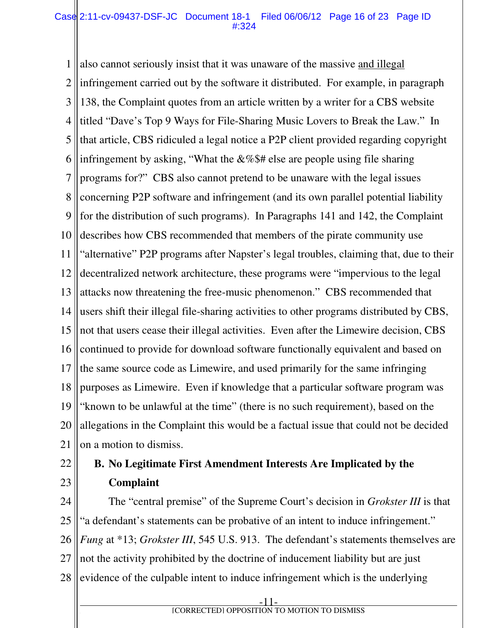1 2 3 4 5 6 7 8 9 10 11 12 13 14 15 16 17 18 19 20 21 also cannot seriously insist that it was unaware of the massive and illegal infringement carried out by the software it distributed. For example, in paragraph 138, the Complaint quotes from an article written by a writer for a CBS website titled "Dave's Top 9 Ways for File-Sharing Music Lovers to Break the Law." In that article, CBS ridiculed a legal notice a P2P client provided regarding copyright infringement by asking, "What the  $&\&\$\$  as else are people using file sharing programs for?" CBS also cannot pretend to be unaware with the legal issues concerning P2P software and infringement (and its own parallel potential liability for the distribution of such programs). In Paragraphs 141 and 142, the Complaint describes how CBS recommended that members of the pirate community use "alternative" P2P programs after Napster's legal troubles, claiming that, due to their decentralized network architecture, these programs were "impervious to the legal attacks now threatening the free-music phenomenon." CBS recommended that users shift their illegal file-sharing activities to other programs distributed by CBS, not that users cease their illegal activities. Even after the Limewire decision, CBS continued to provide for download software functionally equivalent and based on the same source code as Limewire, and used primarily for the same infringing purposes as Limewire. Even if knowledge that a particular software program was "known to be unlawful at the time" (there is no such requirement), based on the allegations in the Complaint this would be a factual issue that could not be decided on a motion to dismiss.

22

### 23

## **B. No Legitimate First Amendment Interests Are Implicated by the Complaint**

24 25 26 27 28 The "central premise" of the Supreme Court's decision in *Grokster III* is that "a defendant's statements can be probative of an intent to induce infringement." *Fung* at \*13; *Grokster III*, 545 U.S. 913. The defendant's statements themselves are not the activity prohibited by the doctrine of inducement liability but are just evidence of the culpable intent to induce infringement which is the underlying

**f EXECUTED** [CORRECTED] OPPOSITION TO MOTION TO DISMISS

-11-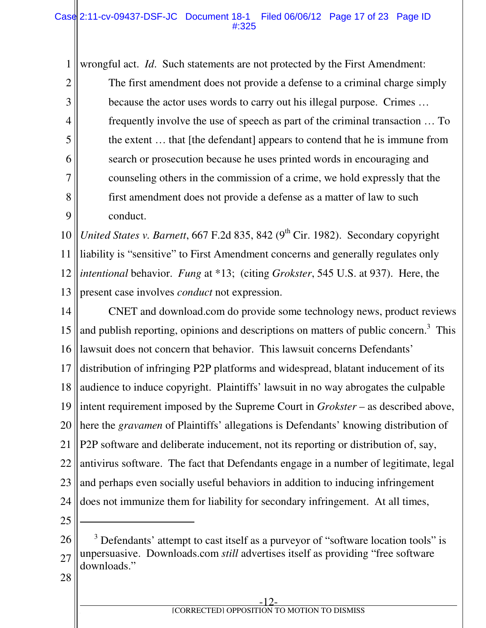#### Case 2:11-cv-09437-DSF-JC Document 18-1 Filed 06/06/12 Page 17 of 23 Page ID #:325

wrongful act. *Id*. Such statements are not protected by the First Amendment:

The first amendment does not provide a defense to a criminal charge simply because the actor uses words to carry out his illegal purpose. Crimes … frequently involve the use of speech as part of the criminal transaction … To the extent … that [the defendant] appears to contend that he is immune from search or prosecution because he uses printed words in encouraging and counseling others in the commission of a crime, we hold expressly that the first amendment does not provide a defense as a matter of law to such conduct.

10 11 12 13 *United States v. Barnett*, 667 F.2d 835, 842 (9<sup>th</sup> Cir. 1982). Secondary copyright liability is "sensitive" to First Amendment concerns and generally regulates only *intentional* behavior. *Fung* at \*13; (citing *Grokster*, 545 U.S. at 937). Here, the present case involves *conduct* not expression.

14 15 16 17 18 19 20 21 22 23 24 CNET and download.com do provide some technology news, product reviews and publish reporting, opinions and descriptions on matters of public concern.<sup>3</sup> This lawsuit does not concern that behavior. This lawsuit concerns Defendants' distribution of infringing P2P platforms and widespread, blatant inducement of its audience to induce copyright. Plaintiffs' lawsuit in no way abrogates the culpable intent requirement imposed by the Supreme Court in *Grokster* – as described above, here the *gravamen* of Plaintiffs' allegations is Defendants' knowing distribution of P2P software and deliberate inducement, not its reporting or distribution of, say, antivirus software. The fact that Defendants engage in a number of legitimate, legal and perhaps even socially useful behaviors in addition to inducing infringement does not immunize them for liability for secondary infringement. At all times,

25

 $\overline{a}$ 

1

2

3

4

5

6

7

8

9

26 27 <sup>3</sup> Defendants' attempt to cast itself as a purveyor of "software location tools" is unpersuasive. Downloads.com *still* advertises itself as providing "free software downloads."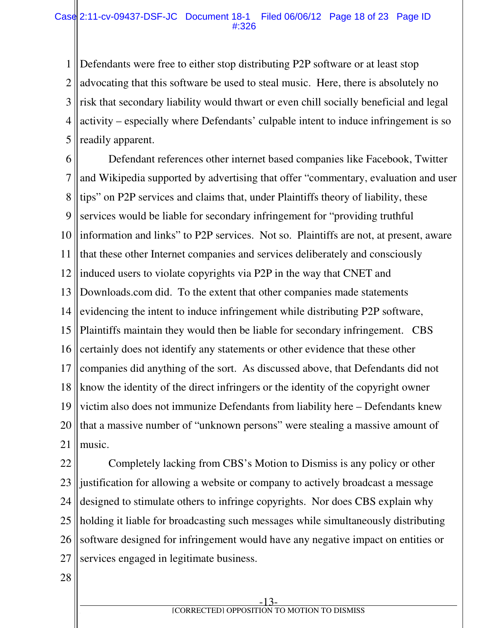1 2 3 4 5 Defendants were free to either stop distributing P2P software or at least stop advocating that this software be used to steal music. Here, there is absolutely no risk that secondary liability would thwart or even chill socially beneficial and legal activity – especially where Defendants' culpable intent to induce infringement is so readily apparent.

6 7 8 9 10 11 12 13 14 15 16 17 18 19 20 21 Defendant references other internet based companies like Facebook, Twitter and Wikipedia supported by advertising that offer "commentary, evaluation and user tips" on P2P services and claims that, under Plaintiffs theory of liability, these services would be liable for secondary infringement for "providing truthful information and links" to P2P services. Not so. Plaintiffs are not, at present, aware that these other Internet companies and services deliberately and consciously induced users to violate copyrights via P2P in the way that CNET and Downloads.com did. To the extent that other companies made statements evidencing the intent to induce infringement while distributing P2P software, Plaintiffs maintain they would then be liable for secondary infringement. CBS certainly does not identify any statements or other evidence that these other companies did anything of the sort. As discussed above, that Defendants did not know the identity of the direct infringers or the identity of the copyright owner victim also does not immunize Defendants from liability here – Defendants knew that a massive number of "unknown persons" were stealing a massive amount of music.

22 23 24 25 26 27 Completely lacking from CBS's Motion to Dismiss is any policy or other justification for allowing a website or company to actively broadcast a message designed to stimulate others to infringe copyrights. Nor does CBS explain why holding it liable for broadcasting such messages while simultaneously distributing software designed for infringement would have any negative impact on entities or services engaged in legitimate business.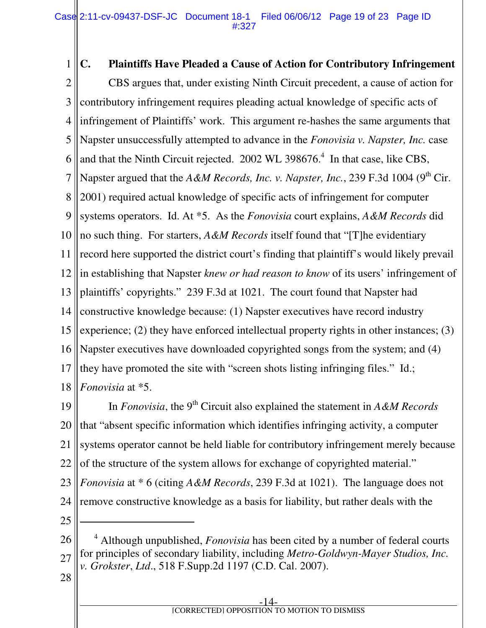1 2 3 4 5 6 7 8 9 10 11 12 13 14 15 16 17 18 **C. Plaintiffs Have Pleaded a Cause of Action for Contributory Infringement**  CBS argues that, under existing Ninth Circuit precedent, a cause of action for contributory infringement requires pleading actual knowledge of specific acts of infringement of Plaintiffs' work. This argument re-hashes the same arguments that Napster unsuccessfully attempted to advance in the *Fonovisia v. Napster, Inc.* case and that the Ninth Circuit rejected.  $2002$  WL 398676.<sup>4</sup> In that case, like CBS, Napster argued that the *A&M Records, Inc. v. Napster, Inc.*, 239 F.3d 1004 (9<sup>th</sup> Cir. 2001) required actual knowledge of specific acts of infringement for computer systems operators. Id. At \*5. As the *Fonovisia* court explains, *A&M Records* did no such thing. For starters, *A&M Records* itself found that "[T]he evidentiary record here supported the district court's finding that plaintiff's would likely prevail in establishing that Napster *knew or had reason to know* of its users' infringement of plaintiffs' copyrights." 239 F.3d at 1021. The court found that Napster had constructive knowledge because: (1) Napster executives have record industry experience; (2) they have enforced intellectual property rights in other instances; (3) Napster executives have downloaded copyrighted songs from the system; and (4) they have promoted the site with "screen shots listing infringing files." Id.; *Fonovisia* at \*5.

19 20 21 22 In *Fonovisia*, the 9<sup>th</sup> Circuit also explained the statement in *A&M Records* that "absent specific information which identifies infringing activity, a computer systems operator cannot be held liable for contributory infringement merely because of the structure of the system allows for exchange of copyrighted material."

- 23 24 *Fonovisia* at \* 6 (citing *A&M Records*, 239 F.3d at 1021). The language does not remove constructive knowledge as a basis for liability, but rather deals with the
- 25

 $\overline{a}$ 

<sup>26</sup> 27 <sup>4</sup> Although unpublished, *Fonovisia* has been cited by a number of federal courts for principles of secondary liability, including *Metro-Goldwyn-Mayer Studios, Inc. v. Grokster*, *Ltd*., 518 F.Supp.2d 1197 (C.D. Cal. 2007).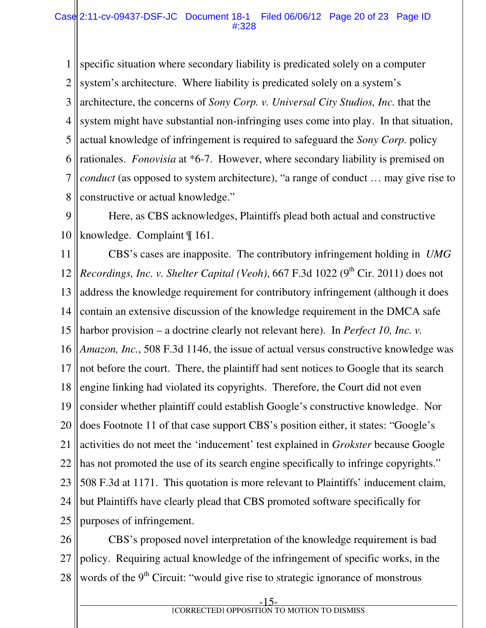1 2 3 4 5 6 7 8 specific situation where secondary liability is predicated solely on a computer system's architecture. Where liability is predicated solely on a system's architecture, the concerns of *Sony Corp. v. Universal City Studios, Inc.* that the system might have substantial non-infringing uses come into play. In that situation, actual knowledge of infringement is required to safeguard the *Sony Corp.* policy rationales. *Fonovisia* at \*6-7. However, where secondary liability is premised on *conduct* (as opposed to system architecture), "a range of conduct … may give rise to constructive or actual knowledge."

9 10 Here, as CBS acknowledges, Plaintiffs plead both actual and constructive knowledge. Complaint ¶ 161.

11 12 13 14 15 16 17 18 19 20 21 22 23 24 25 CBS's cases are inapposite. The contributory infringement holding in *UMG Recordings, Inc. v. Shelter Capital (Veoh),* 667 F.3d 1022 (9<sup>th</sup> Cir. 2011) does not address the knowledge requirement for contributory infringement (although it does contain an extensive discussion of the knowledge requirement in the DMCA safe harbor provision – a doctrine clearly not relevant here). In *Perfect 10, Inc. v. Amazon, Inc.*, 508 F.3d 1146, the issue of actual versus constructive knowledge was not before the court. There, the plaintiff had sent notices to Google that its search engine linking had violated its copyrights. Therefore, the Court did not even consider whether plaintiff could establish Google's constructive knowledge. Nor does Footnote 11 of that case support CBS's position either, it states: "Google's activities do not meet the 'inducement' test explained in *Grokster* because Google has not promoted the use of its search engine specifically to infringe copyrights." 508 F.3d at 1171. This quotation is more relevant to Plaintiffs' inducement claim, but Plaintiffs have clearly plead that CBS promoted software specifically for purposes of infringement.

26 27 28 CBS's proposed novel interpretation of the knowledge requirement is bad policy. Requiring actual knowledge of the infringement of specific works, in the words of the 9<sup>th</sup> Circuit: "would give rise to strategic ignorance of monstrous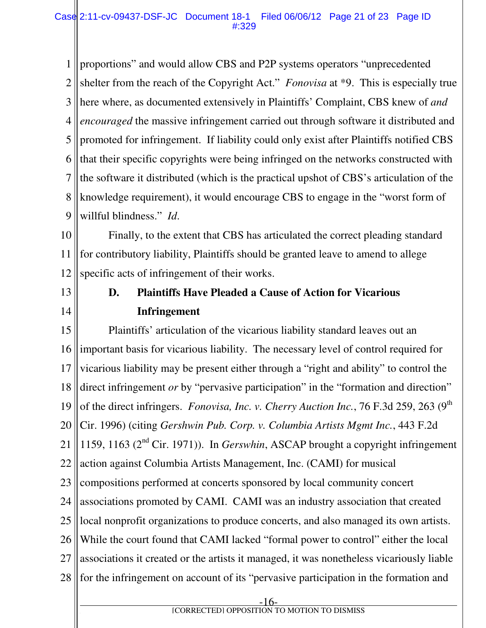1 2 3 4 5 6 7 8 9 proportions" and would allow CBS and P2P systems operators "unprecedented shelter from the reach of the Copyright Act." *Fonovisa* at \*9. This is especially true here where, as documented extensively in Plaintiffs' Complaint, CBS knew of *and encouraged* the massive infringement carried out through software it distributed and promoted for infringement. If liability could only exist after Plaintiffs notified CBS that their specific copyrights were being infringed on the networks constructed with the software it distributed (which is the practical upshot of CBS's articulation of the knowledge requirement), it would encourage CBS to engage in the "worst form of willful blindness." *Id*.

10 11 12 Finally, to the extent that CBS has articulated the correct pleading standard for contributory liability, Plaintiffs should be granted leave to amend to allege specific acts of infringement of their works.

13 14

## **D. Plaintiffs Have Pleaded a Cause of Action for Vicarious Infringement**

15 16 17 18 19 20 21 22 23 24 25 26 27 28 Plaintiffs' articulation of the vicarious liability standard leaves out an important basis for vicarious liability. The necessary level of control required for vicarious liability may be present either through a "right and ability" to control the direct infringement *or* by "pervasive participation" in the "formation and direction" of the direct infringers. *Fonovisa, Inc. v. Cherry Auction Inc.*, 76 F.3d 259, 263 (9<sup>th</sup>) Cir. 1996) (citing *Gershwin Pub. Corp. v. Columbia Artists Mgmt Inc.*, 443 F.2d 1159, 1163 ( $2<sup>nd</sup>$  Cir. 1971)). In *Gerswhin*, ASCAP brought a copyright infringement action against Columbia Artists Management, Inc. (CAMI) for musical compositions performed at concerts sponsored by local community concert associations promoted by CAMI. CAMI was an industry association that created local nonprofit organizations to produce concerts, and also managed its own artists. While the court found that CAMI lacked "formal power to control" either the local associations it created or the artists it managed, it was nonetheless vicariously liable for the infringement on account of its "pervasive participation in the formation and

-16 **f EXECUTED** [CORRECTED] OPPOSITION TO MOTION TO DISMISS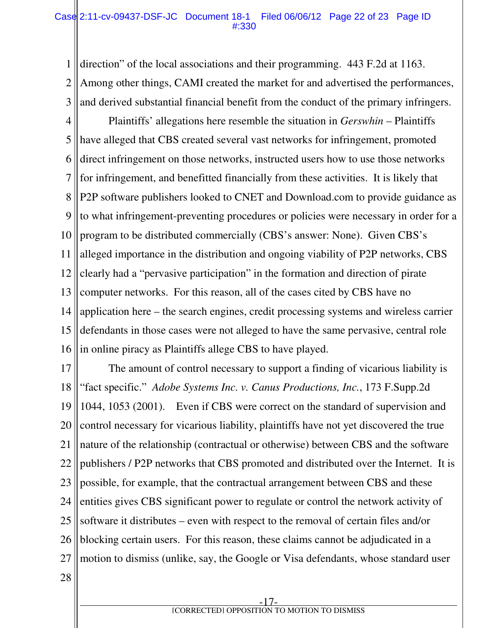#### Case 2:11-cv-09437-DSF-JC Document 18-1 Filed 06/06/12 Page 22 of 23 Page ID #:330

1 2 3 direction" of the local associations and their programming. 443 F.2d at 1163. Among other things, CAMI created the market for and advertised the performances, and derived substantial financial benefit from the conduct of the primary infringers.

4 5 6 7 8 9 10 11 12 13 14 15 16 Plaintiffs' allegations here resemble the situation in *Gerswhin* – Plaintiffs have alleged that CBS created several vast networks for infringement, promoted direct infringement on those networks, instructed users how to use those networks for infringement, and benefitted financially from these activities. It is likely that P2P software publishers looked to CNET and Download.com to provide guidance as to what infringement-preventing procedures or policies were necessary in order for a program to be distributed commercially (CBS's answer: None). Given CBS's alleged importance in the distribution and ongoing viability of P2P networks, CBS clearly had a "pervasive participation" in the formation and direction of pirate computer networks. For this reason, all of the cases cited by CBS have no application here – the search engines, credit processing systems and wireless carrier defendants in those cases were not alleged to have the same pervasive, central role in online piracy as Plaintiffs allege CBS to have played.

17 18 19 20 21 22 23 24 25 26 27 28 The amount of control necessary to support a finding of vicarious liability is "fact specific." *Adobe Systems Inc. v. Canus Productions, Inc.*, 173 F.Supp.2d 1044, 1053 (2001). Even if CBS were correct on the standard of supervision and control necessary for vicarious liability, plaintiffs have not yet discovered the true nature of the relationship (contractual or otherwise) between CBS and the software publishers / P2P networks that CBS promoted and distributed over the Internet. It is possible, for example, that the contractual arrangement between CBS and these entities gives CBS significant power to regulate or control the network activity of software it distributes – even with respect to the removal of certain files and/or blocking certain users. For this reason, these claims cannot be adjudicated in a motion to dismiss (unlike, say, the Google or Visa defendants, whose standard user